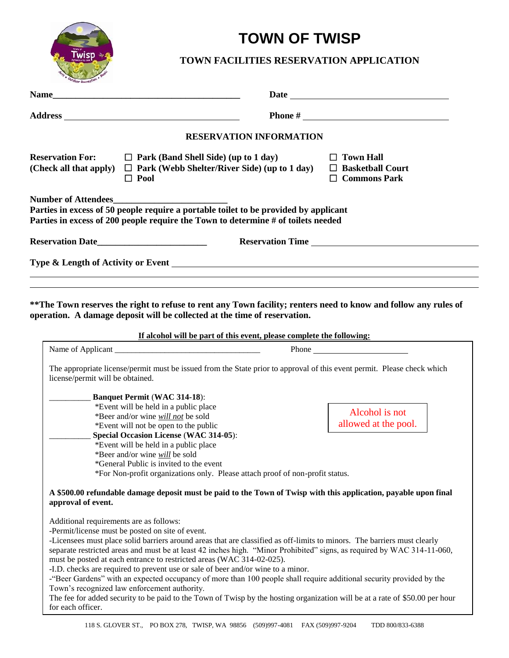

# **TOWN OF TWISP**

## **TOWN FACILITIES RESERVATION APPLICATION**

| <b>Name_</b>                                                                                                                                                                                                                                             | Date <u>and the second second second second</u> second second second second second second second second second second second second second second second second second second second second second second second second second seco |
|----------------------------------------------------------------------------------------------------------------------------------------------------------------------------------------------------------------------------------------------------------|-------------------------------------------------------------------------------------------------------------------------------------------------------------------------------------------------------------------------------------|
|                                                                                                                                                                                                                                                          |                                                                                                                                                                                                                                     |
|                                                                                                                                                                                                                                                          | <b>RESERVATION INFORMATION</b>                                                                                                                                                                                                      |
| <b>Reservation For:</b><br>$\Box$ Park (Band Shell Side) (up to 1 day)<br>$\Box$ Park (Webb Shelter/River Side) (up to 1 day)<br>(Check all that apply)<br>$\Box$ Pool                                                                                   | $\Box$ Town Hall<br>$\Box$ Basketball Court<br>$\Box$ Commons Park                                                                                                                                                                  |
| <b>Number of Attendees_</b><br>Parties in excess of 50 people require a portable toilet to be provided by applicant<br>Parties in excess of 200 people require the Town to determine # of toilets needed                                                 |                                                                                                                                                                                                                                     |
|                                                                                                                                                                                                                                                          | <b>Reservation Time</b>                                                                                                                                                                                                             |
|                                                                                                                                                                                                                                                          |                                                                                                                                                                                                                                     |
| operation. A damage deposit will be collected at the time of reservation.                                                                                                                                                                                | **The Town reserves the right to refuse to rent any Town facility; renters need to know and follow any rules of<br>If alcohol will be part of this event, please complete the following:                                            |
|                                                                                                                                                                                                                                                          | <b>Phone</b>                                                                                                                                                                                                                        |
| license/permit will be obtained.                                                                                                                                                                                                                         | The appropriate license/permit must be issued from the State prior to approval of this event permit. Please check which                                                                                                             |
|                                                                                                                                                                                                                                                          |                                                                                                                                                                                                                                     |
| <b>Banquet Permit (WAC 314-18):</b>                                                                                                                                                                                                                      |                                                                                                                                                                                                                                     |
| *Event will be held in a public place                                                                                                                                                                                                                    |                                                                                                                                                                                                                                     |
| *Beer and/or wine will not be sold                                                                                                                                                                                                                       | Alcohol is not                                                                                                                                                                                                                      |
| *Event will not be open to the public<br>Special Occasion License (WAC 314-05):                                                                                                                                                                          | allowed at the pool.                                                                                                                                                                                                                |
| *Event will be held in a public place                                                                                                                                                                                                                    |                                                                                                                                                                                                                                     |
| *Beer and/or wine will be sold                                                                                                                                                                                                                           |                                                                                                                                                                                                                                     |
| *General Public is invited to the event                                                                                                                                                                                                                  |                                                                                                                                                                                                                                     |
| *For Non-profit organizations only. Please attach proof of non-profit status.                                                                                                                                                                            |                                                                                                                                                                                                                                     |
| approval of event.                                                                                                                                                                                                                                       | A \$500.00 refundable damage deposit must be paid to the Town of Twisp with this application, payable upon final                                                                                                                    |
| Additional requirements are as follows:                                                                                                                                                                                                                  |                                                                                                                                                                                                                                     |
| -Permit/license must be posted on site of event.                                                                                                                                                                                                         |                                                                                                                                                                                                                                     |
| -Licensees must place solid barriers around areas that are classified as off-limits to minors. The barriers must clearly<br>must be posted at each entrance to restricted areas (WAC 314-02-025).                                                        | separate restricted areas and must be at least 42 inches high. "Minor Prohibited" signs, as required by WAC 314-11-060,                                                                                                             |
| -I.D. checks are required to prevent use or sale of beer and/or wine to a minor.<br>-"Beer Gardens" with an expected occupancy of more than 100 people shall require additional security provided by the<br>Town's recognized law enforcement authority. |                                                                                                                                                                                                                                     |